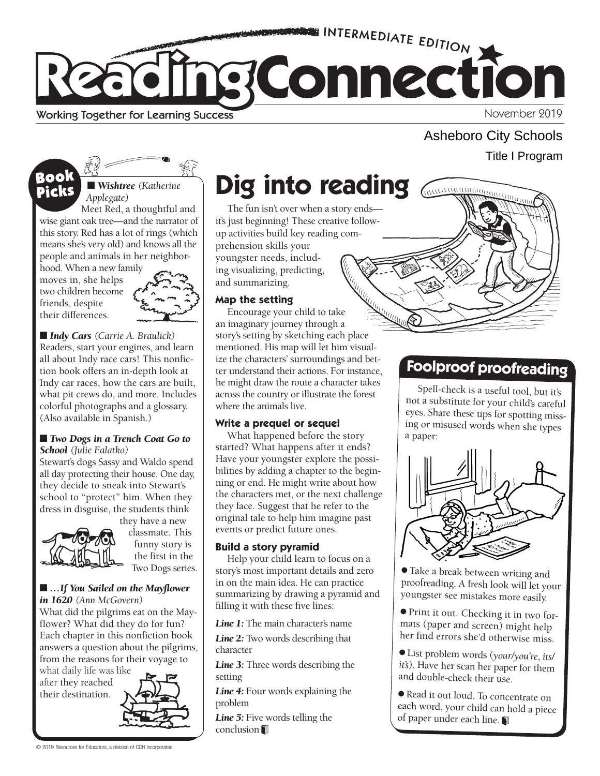

## Asheboro City Schools Title I Program

THE COMMAND OF THE COMMAND OF THE COMMAND OF THE COMMAND OF THE COMMAND OF THE COMMAND OF THE COMMAND OF THE COMMAND OF THE COMMAND OF THE COMMAND OF THE COMMAND OF THE COMMAND OF THE COMMAND OF THE COMMAND OF THE COMMAND

## Book Picks

■ **Wishtree** (Katherine *Applegate)* 

Meet Red, a thoughtful and wise giant oak tree—and the narrator of this story. Red has a lot of rings (which means she's very old) and knows all the people and animals in her neighbor-

hood. When a new family moves in, she helps two children become friends, despite their differences.



■ *Indy Cars* (*Carrie A. Braulick*) Readers, start your engines, and learn all about Indy race cars! This nonfiction book offers an in-depth look at Indy car races, how the cars are built, what pit crews do, and more. Includes colorful photographs and a glossary. (Also available in Spanish.)

#### ■ *Two Dogs in a Trench Coat Go to School (Julie Falatko)*

Stewart's dogs Sassy and Waldo spend all day protecting their house. One day, they decide to sneak into Stewart's school to "protect" him. When they dress in disguise, the students think they have a new



classmate. This funny story is the first in the Two Dogs series.

#### ■ *…If You Sailed on the Mayflower in 1620 (Ann McGovern)*

What did the pilgrims eat on the Mayflower? What did they do for fun? Each chapter in this nonfiction book answers a question about the pilgrims, from the reasons for their voyage to

what daily life was like after they reached their destination.



# **Dig into reading**

up activities build key reading com-The fun isn't over when a story ends it's just beginning! These creative followprehension skills your youngster needs, including visualizing, predicting, and summarizing.

### **Map the setting**

Encourage your child to take an imaginary journey through a story's setting by sketching each place mentioned. His map will let him visualize the characters' surroundings and better understand their actions. For instance, he might draw the route a character takes across the country or illustrate the forest where the animals live.

### **Write a prequel or sequel**

What happened before the story started? What happens after it ends? Have your youngster explore the possibilities by adding a chapter to the beginning or end. He might write about how the characters met, or the next challenge they face. Suggest that he refer to the original tale to help him imagine past events or predict future ones.

### **Build a story pyramid**

Help your child learn to focus on a story's most important details and zero in on the main idea. He can practice summarizing by drawing a pyramid and filling it with these five lines:

*Line 1:* The main character's name

Line 2: Two words describing that character

*Line 3:* Three words describing the setting

Line 4: Four words explaining the problem

Line 5: Five words telling the conclusion 1

## **Foolproof proofreading**

Spell-check is a useful tool, but it's not a substitute for your child's careful eyes. Share these tips for spotting missing or misused words when she types a paper:



● Take a break between writing and proofreading. A fresh look will let your youngster see mistakes more easily.

● Print it out. Checking it in two formats (paper and screen) might help her find errors she'd otherwise miss.

● List problem words (*your*/*you're*, *its*/ *it's*). Have her scan her paper for them and double-check their use.

● Read it out loud. To concentrate on each word, your child can hold a piece of paper under each line.